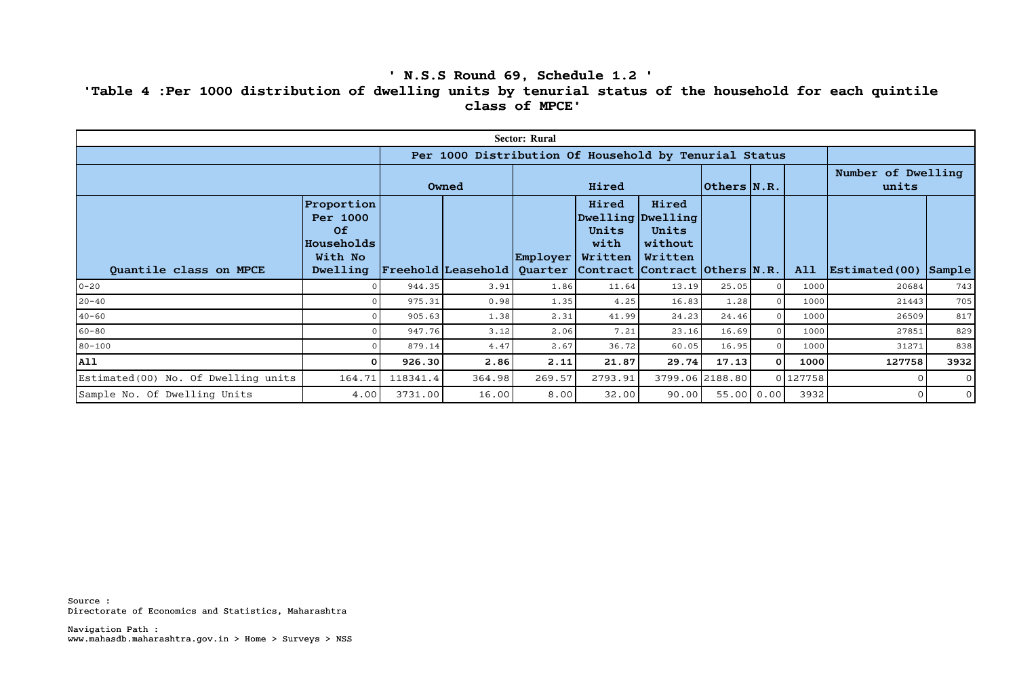## **' N.S.S Round 69, Schedule 1.2 ' 'Table 4 :Per 1000 distribution of dwelling units by tenurial status of the household for each quintile class of MPCE'**

| <b>Sector: Rural</b>                 |                                                                   |          |                                                       |          |                                                                                                                                 |                                      |                 |      |          |                                                |                |
|--------------------------------------|-------------------------------------------------------------------|----------|-------------------------------------------------------|----------|---------------------------------------------------------------------------------------------------------------------------------|--------------------------------------|-----------------|------|----------|------------------------------------------------|----------------|
|                                      |                                                                   |          | Per 1000 Distribution Of Household by Tenurial Status |          |                                                                                                                                 |                                      |                 |      |          |                                                |                |
|                                      |                                                                   | Owned    |                                                       | Hired    |                                                                                                                                 |                                      | 0thers N.R.     |      |          | Number of Dwelling<br>units                    |                |
| Quantile class on MPCE               | Proportion<br>Per 1000<br>Of<br>Households<br>With No<br>Dwelling |          | $\mid$ Freehold $\mid$ Leasehold $\mid$               | Employer | Hired<br>Dwelling Dwelling<br>Units<br>with<br>Written<br>Quarter $\vert$ Contract $\vert$ Contract $\vert$ Others $\vert$ N.R. | Hired<br>Units<br>without<br>Written |                 |      | A11      | $ \texttt{Estimated}(00) $ $ \texttt{Sample} $ |                |
| $0 - 20$                             |                                                                   | 944.35   | 3.91                                                  | 1.86     | 11.64                                                                                                                           | 13.19                                | 25.05           |      | 1000     | 20684                                          | 743            |
| $20 - 40$                            |                                                                   | 975.31   | 0.98                                                  | 1.35     | 4.25                                                                                                                            | 16.83                                | 1.28            |      | 1000     | 21443                                          | 705            |
| $40 - 60$                            |                                                                   | 905.63   | 1.38                                                  | 2.31     | 41.99                                                                                                                           | 24.23                                | 24.46           |      | 1000     | 26509                                          | 817            |
| $60 - 80$                            |                                                                   | 947.76   | 3.12                                                  | 2.06     | 7.21                                                                                                                            | 23.16                                | 16.69           |      | 1000     | 27851                                          | 829            |
| $80 - 100$                           |                                                                   | 879.14   | 4.47                                                  | 2.67     | 36.72                                                                                                                           | 60.05                                | 16.95           |      | 1000     | 31271                                          | 838            |
| <b>All</b>                           | 0                                                                 | 926.30   | 2.86                                                  | 2.11     | 21.87                                                                                                                           | 29.74                                | 17.13           | οI   | 1000     | 127758                                         | 3932           |
| Estimated (00) No. Of Dwelling units | 164.71                                                            | 118341.4 | 364.98                                                | 269.57   | 2793.91                                                                                                                         |                                      | 3799.06 2188.80 |      | 0 127758 |                                                | $\overline{O}$ |
| Sample No. Of Dwelling Units         | 4.00                                                              | 3731.00  | 16.00                                                 | 8.00     | 32.00                                                                                                                           | 90.00                                | 55.00           | 0.00 | 3932     | $\Omega$                                       | $\overline{0}$ |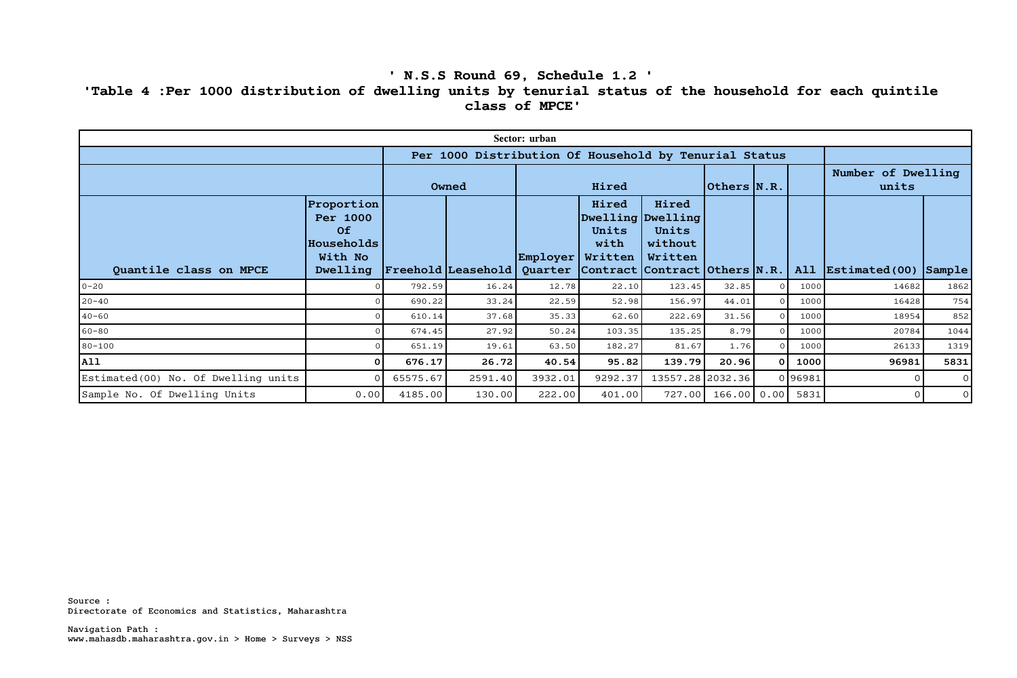## **' N.S.S Round 69, Schedule 1.2 ' 'Table 4 :Per 1000 distribution of dwelling units by tenurial status of the household for each quintile class of MPCE'**

| Sector: urban                        |                                                                   |          |                                                                   |                          |                                                        |                                      |             |              |        |                                      |                |
|--------------------------------------|-------------------------------------------------------------------|----------|-------------------------------------------------------------------|--------------------------|--------------------------------------------------------|--------------------------------------|-------------|--------------|--------|--------------------------------------|----------------|
|                                      |                                                                   |          | Per 1000 Distribution Of Household by Tenurial Status             |                          |                                                        |                                      |             |              |        |                                      |                |
|                                      |                                                                   | Owned    |                                                                   | Hired                    |                                                        |                                      | 0thers N.R. |              |        | Number of Dwelling<br>units          |                |
| Quantile class on MPCE               | Proportion<br>Per 1000<br>Of<br>Households<br>With No<br>Dwelling |          | Freehold Leasehold  Quarter   Contract   Contract   Others   N.R. | $\vert$ Employer $\vert$ | Hired<br>Dwelling Dwelling<br>Units<br>with<br>Written | Hired<br>Units<br>without<br>Written |             |              | A11    | $\vert$ Estimated(00) $\vert$ Sample |                |
| $0 - 20$                             |                                                                   | 792.59   | 16.24                                                             | 12.78                    | 22.10                                                  | 123.45                               | 32.85       |              | 1000   | 14682                                | 1862           |
| $20 - 40$                            |                                                                   | 690.22   | 33.24                                                             | 22.59                    | 52.98                                                  | 156.97                               | 44.01       |              | 1000   | 16428                                | 754            |
| $40 - 60$                            |                                                                   | 610.14   | 37.68                                                             | 35.33                    | 62.60                                                  | 222.69                               | 31.56       |              | 1000   | 18954                                | 852            |
| $60 - 80$                            |                                                                   | 674.45   | 27.92                                                             | 50.24                    | 103.35                                                 | 135.25                               | 8.79        |              | 1000   | 20784                                | 1044           |
| $80 - 100$                           |                                                                   | 651.19   | 19.61                                                             | 63.50                    | 182.27                                                 | 81.67                                | 1.76        |              | 1000   | 26133                                | 1319           |
| All                                  | 0                                                                 | 676.17   | 26.72                                                             | 40.54                    | 95.82                                                  | 139.79                               | 20.96       | <sup>0</sup> | 1000   | 96981                                | 5831           |
| Estimated (00) No. Of Dwelling units |                                                                   | 65575.67 | 2591.40                                                           | 3932.01                  | 9292.37                                                | 13557.28 2032.36                     |             |              | 096981 |                                      | $\circ$        |
| Sample No. Of Dwelling Units         | 0.00                                                              | 4185.00  | 130.00                                                            | 222.00                   | 401.00                                                 | 727.00                               | 166.00      | 0.00         | 5831   | $\Omega$                             | $\overline{0}$ |